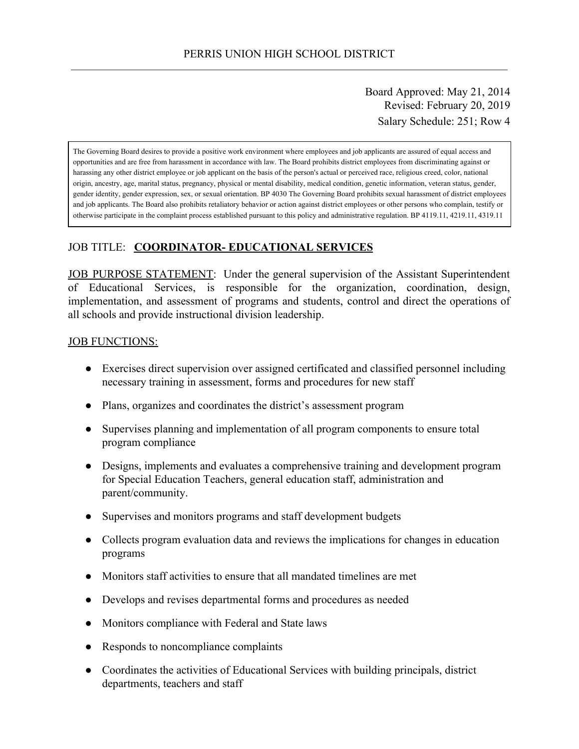Board Approved: May 21, 2014 Revised: February 20, 2019 Salary Schedule: 251; Row 4

The Governing Board desires to provide a positive work environment where employees and job applicants are assured of equal access and opportunities and are free from harassment in accordance with law. The Board prohibits district employees from discriminating against or harassing any other district employee or job applicant on the basis of the person's actual or perceived race, religious creed, color, national origin, ancestry, age, marital status, pregnancy, physical or mental disability, medical condition, genetic information, veteran status, gender, gender identity, gender expression, sex, or sexual orientation. BP 4030 The Governing Board prohibits sexual harassment of district employees and job applicants. The Board also prohibits retaliatory behavior or action against district employees or other persons who complain, testify or otherwise participate in the complaint process established pursuant to this policy and administrative regulation. BP 4119.11, 4219.11, 4319.11

## JOB TITLE: **COORDINATOR- EDUCATIONAL SERVICES**

JOB PURPOSE STATEMENT: Under the general supervision of the Assistant Superintendent of Educational Services, is responsible for the organization, coordination, design, implementation, and assessment of programs and students, control and direct the operations of all schools and provide instructional division leadership.

#### **JOB FUNCTIONS:**

- Exercises direct supervision over assigned certificated and classified personnel including necessary training in assessment, forms and procedures for new staff
- Plans, organizes and coordinates the district's assessment program
- Supervises planning and implementation of all program components to ensure total program compliance
- Designs, implements and evaluates a comprehensive training and development program for Special Education Teachers, general education staff, administration and parent/community.
- Supervises and monitors programs and staff development budgets
- Collects program evaluation data and reviews the implications for changes in education programs
- Monitors staff activities to ensure that all mandated timelines are met
- Develops and revises departmental forms and procedures as needed
- Monitors compliance with Federal and State laws
- Responds to noncompliance complaints
- Coordinates the activities of Educational Services with building principals, district departments, teachers and staff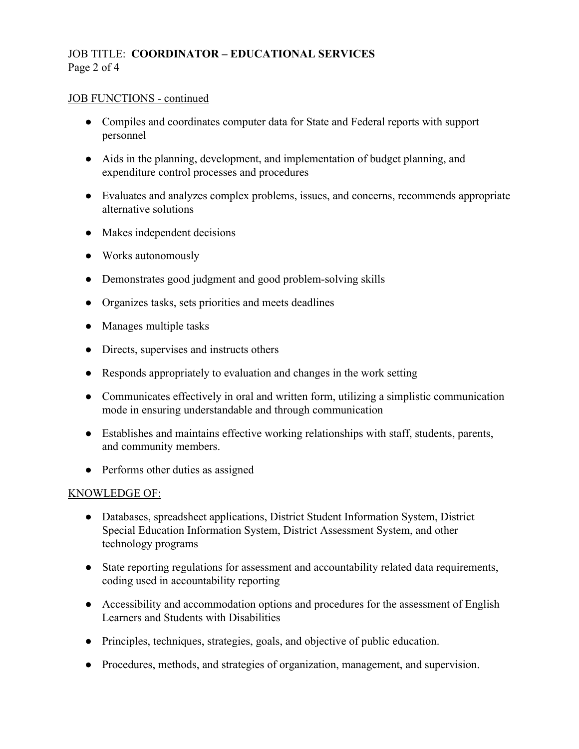## JOB TITLE: **COORDINATOR – EDUCATIONAL SERVICES** Page 2 of 4

### JOB FUNCTIONS - continued

- Compiles and coordinates computer data for State and Federal reports with support personnel
- Aids in the planning, development, and implementation of budget planning, and expenditure control processes and procedures
- Evaluates and analyzes complex problems, issues, and concerns, recommends appropriate alternative solutions
- Makes independent decisions
- Works autonomously
- Demonstrates good judgment and good problem-solving skills
- Organizes tasks, sets priorities and meets deadlines
- Manages multiple tasks
- Directs, supervises and instructs others
- Responds appropriately to evaluation and changes in the work setting
- Communicates effectively in oral and written form, utilizing a simplistic communication mode in ensuring understandable and through communication
- Establishes and maintains effective working relationships with staff, students, parents, and community members.
- Performs other duties as assigned

### KNOWLEDGE OF:

- Databases, spreadsheet applications, District Student Information System, District Special Education Information System, District Assessment System, and other technology programs
- State reporting regulations for assessment and accountability related data requirements, coding used in accountability reporting
- Accessibility and accommodation options and procedures for the assessment of English Learners and Students with Disabilities
- Principles, techniques, strategies, goals, and objective of public education.
- Procedures, methods, and strategies of organization, management, and supervision.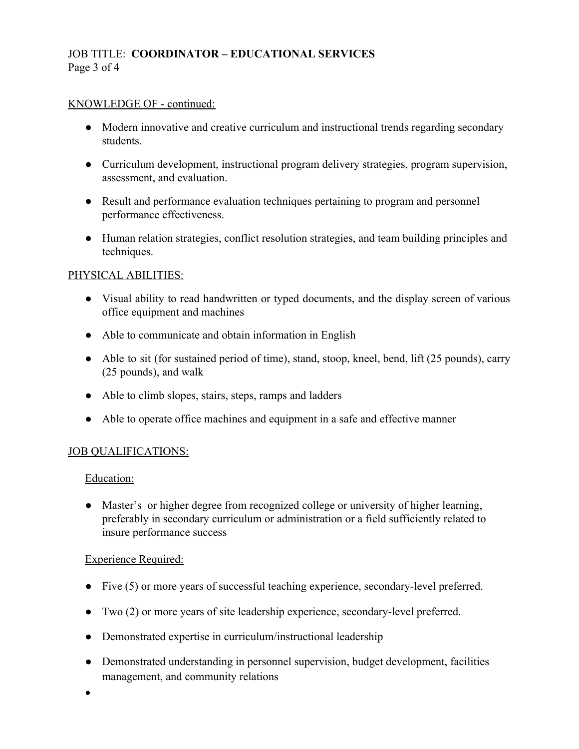# JOB TITLE: **COORDINATOR – EDUCATIONAL SERVICES** Page 3 of 4

### KNOWLEDGE OF - continued:

- Modern innovative and creative curriculum and instructional trends regarding secondary students.
- Curriculum development, instructional program delivery strategies, program supervision, assessment, and evaluation.
- Result and performance evaluation techniques pertaining to program and personnel performance effectiveness.
- Human relation strategies, conflict resolution strategies, and team building principles and techniques.

### PHYSICAL ABILITIES:

- Visual ability to read handwritten or typed documents, and the display screen of various office equipment and machines
- Able to communicate and obtain information in English
- Able to sit (for sustained period of time), stand, stoop, kneel, bend, lift (25 pounds), carry (25 pounds), and walk
- Able to climb slopes, stairs, steps, ramps and ladders
- Able to operate office machines and equipment in a safe and effective manner

### JOB QUALIFICATIONS:

Education:

● Master's or higher degree from recognized college or university of higher learning, preferably in secondary curriculum or administration or a field sufficiently related to insure performance success

### Experience Required:

- Five (5) or more years of successful teaching experience, secondary-level preferred.
- Two (2) or more years of site leadership experience, secondary-level preferred.
- Demonstrated expertise in curriculum/instructional leadership
- Demonstrated understanding in personnel supervision, budget development, facilities management, and community relations

●